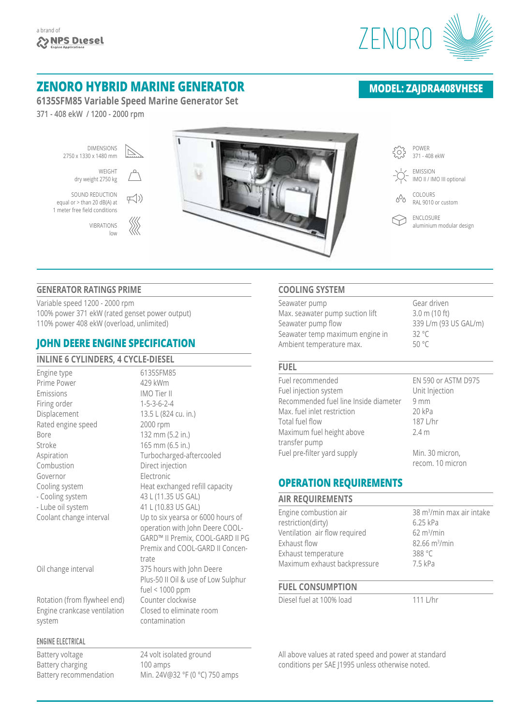

# **ZENORO HYBRID MARINE GENERATOR**

**6135SFM85 Variable Speed Marine Generator Set**

**371 - 408 ekW / 1200 - 2000 rpm**

١ DIMENSIONS POWER  $\overline{\mathbb{Z}}$ {6} 2750 x 1330 x 1480 mm 371 - 408 ekW WEIGHT EMISSION  $\bigcap$ dry weight 2750 kg IMO II / IMO III optional SOUND REDUCTION COLOURS  $\mp$ (1)  $\circ^{\circ}$ equal or > than 20 dB(A) at RAL 9010 or custom 1 meter free field conditions ENCLOSURE 1111<br>1111  $\bigcirc$ VIBRATIONS aluminium modular design low

### **GENERATOR RATINGS PRIME**

Variable speed 1200 - 2000 rpm 100% power 371 ekW (rated genset power output) 110% power 408 ekW (overload, unlimited)

## **JOHN DEERE ENGINE SPECIFICATION**

| INLINE 6 CYLINDERS, 4 CYCLE-DIESEL |                                     |
|------------------------------------|-------------------------------------|
| Engine type                        | 6135SFM85                           |
| Prime Power                        | 429 kWm                             |
| Emissions                          | IMO Tier II                         |
| Firing order                       | $1 - 5 - 3 - 6 - 2 - 4$             |
| Displacement                       | 13.5 L (824 cu. in.)                |
| Rated engine speed                 | 2000 rpm                            |
| <b>Bore</b>                        | 132 mm (5.2 in.)                    |
| Stroke                             | 165 mm (6.5 in.)                    |
| Aspiration                         | Turbocharged-aftercooled            |
| Combustion                         | Direct injection                    |
| Governor                           | Electronic                          |
| Cooling system                     | Heat exchanged refill capacity      |
| - Cooling system                   | 43 L (11.35 US GAL)                 |
| - Lube oil system                  | 41 L (10.83 US GAL)                 |
| Coolant change interval            | Up to six yearsa or 6000 hours of   |
|                                    | operation with John Deere COOL-     |
|                                    | GARD™ II Premix, COOL-GARD II PG    |
|                                    | Premix and COOL-GARD II Concen-     |
|                                    | trate                               |
| Oil change interval                | 375 hours with John Deere           |
|                                    | Plus-50 II Oil & use of Low Sulphur |
|                                    | fuel < $1000$ ppm                   |
| Rotation (from flywheel end)       | Counter clockwise                   |
| Engine crankcase ventilation       | Closed to eliminate room            |
| system                             | contamination                       |
|                                    |                                     |
| <b>ENGINE ELECTRICAL</b>           |                                     |

Battery voltage 24 volt isolated ground Battery charging 100 amps

Battery recommendation Min. 24V@32 °F (0 °C) 750 amps

## **COOLING SYSTEM**

| Seawater pump                   | Gear driven             |
|---------------------------------|-------------------------|
| Max. seawater pump suction lift | $3.0 \text{ m}$ (10 ft) |
| Seawater pump flow              | 339 L/m (93 US GAL/m)   |
| Seawater temp maximum engine in | 32 $^{\circ}$ C         |
| Ambient temperature max.        | 50 °C                   |
|                                 |                         |

### **FUEL**

| Fuel recommended                      | EN 590 or ASTM D975 |
|---------------------------------------|---------------------|
| Fuel injection system                 | Unit Injection      |
| Recommended fuel line Inside diameter | 9mm                 |
| Max. fuel inlet restriction           | 20 kPa              |
| Total fuel flow                       | 187 L/hr            |
| Maximum fuel height above             | 2.4 <sub>m</sub>    |
| transfer pump                         |                     |
| Fuel pre-filter yard supply           | Min. 30 micron,     |
|                                       | recom. 10 micron    |

## **OPERATION REQUIREMENTS**

| <b>AIR REQUIREMENTS</b>       |                                       |
|-------------------------------|---------------------------------------|
| Engine combustion air         | 38 m <sup>3</sup> /min max air intake |
| restriction(dirty)            | 6.25 kPa                              |
| Ventilation air flow required | $62 \text{ m}^3/\text{min}$           |
| Exhaust flow                  | 82.66 m <sup>3</sup> /min             |
| Exhaust temperature           | 388 °C                                |
| Maximum exhaust backpressure  | 7.5 kPa                               |
|                               |                                       |

## **FUEL CONSUMPTION**

Diesel fuel at 100% load 111 L/hr

All above values at rated speed and power at standard conditions per SAE J1995 unless otherwise noted.

## **MODEL: ZAJDRA408VHESE**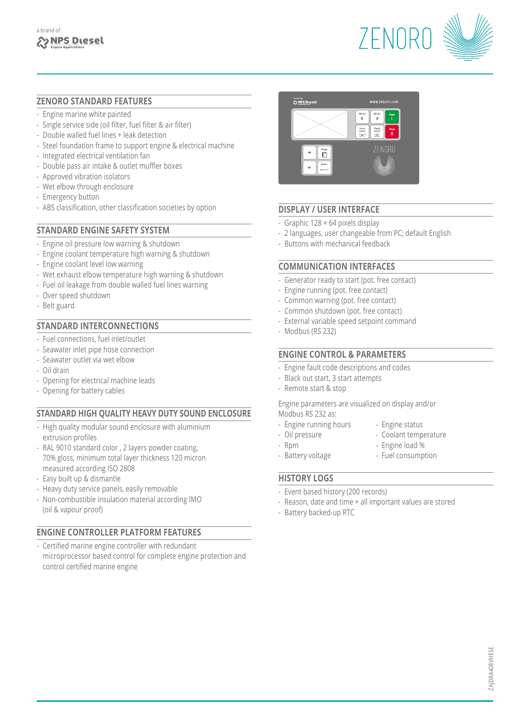

### **ZENORO STANDARD FEATURES**

- Engine marine white painted
- Single service side (oil filter, fuel filter & air filter)
- Double walled fuel lines + leak detection
- Steel foundation frame to support engine & electrical machine
- Integrated electrical ventilation fan
- Double pass air intake & outlet muffler boxes
- Approved vibration isolators
- Wet elbow through enclosure
- Emergency button
- ABS classification, other classification societies by option

### **STANDARD ENGINE SAFETY SYSTEM**

- Engine oil pressure low warning & shutdown
- Engine coolant temperature high warning & shutdown
- Engine coolant level low warning
- Wet exhaust elbow temperature high warning & shutdown
- Fuel oil leakage from double walled fuel lines warning
- Over speed shutdown
- Belt guard

### **STANDARD INTERCONNECTIONS**

- Fuel connections, fuel inlet/outlet
- Seawater inlet pipe hose connection
- Seawater outlet via wet elbow
- Oil drain
- Opening for electrical machine leads
- Opening for battery cables

## **STANDARD HIGH QUALITY HEAVY DUTY SOUND ENCLOSURE**

- High quality modular sound enclosure with aluminium extrusion profiles
- RAL 9010 standard color , 2 layers powder coating, 70% gloss, minimum total layer thickness 120 micron measured according ISO 2808
- Easy built up & dismantle
- Heavy duty service panels, easily removable
- Non-combustible insulation material according IMO (oil & vapour proof)

## **ENGINE CONTROLLER PLATFORM FEATURES**

- Certified marine engine controller with redundant microprocessor based control for complete engine protection and control certified marine engine



## **DISPLAY / USER INTERFACE**

- Graphic 128 × 64 pixels display
- 2 languages, user changeable from PC; default English
- Buttons with mechanical feedback

### **COMMUNICATION INTERFACES**

- Generator ready to start (pot. free contact)
- Engine running (pot. free contact)
- Common warning (pot. free contact)
- Common shutdown (pot. free contact)
- External variable speed setpoint command
- Modbus (RS 232)

### **ENGINE CONTROL & PARAMETERS**

- Engine fault code descriptions and codes
- Black out start, 3 start attempts
- Remote start & stop

Engine parameters are visualized on display and/or Modbus RS 232 as:

- Engine running hours Engine status
- Oil pressure Coolant temperature
- 
- Rpm  $-$  Engine load %
- Battery voltage Fuel consumption
- **HISTORY LOGS**
- Event based history (200 records)
- Reason, date and time + all important values are stored
- Battery backed-up RTC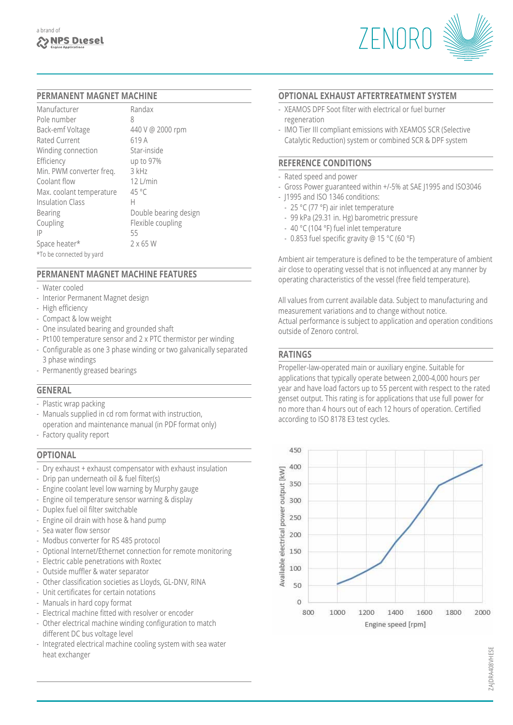

#### **PERMANENT MAGNET MACHINE**

| Randax                |
|-----------------------|
| 8                     |
| 440 V @ 2000 rpm      |
| 619 A                 |
| Star-inside           |
| up to 97%             |
| 3 kHz                 |
| $12$   /min           |
| $45^{\circ}$ C        |
| Н                     |
| Double bearing design |
| Flexible coupling     |
| 55                    |
| $2 \times 65$ W       |
|                       |
|                       |

## **PERMANENT MAGNET MACHINE FEATURES**

- Water cooled
- Interior Permanent Magnet design
- High efficiency
- Compact & low weight
- One insulated bearing and grounded shaft
- Pt100 temperature sensor and 2 x PTC thermistor per winding
- Configurable as one 3 phase winding or two galvanically separated 3 phase windings
- Permanently greased bearings

#### **GENERAL**

- Plastic wrap packing
- Manuals supplied in cd rom format with instruction, operation and maintenance manual (in PDF format only)
- Factory quality report

## **OPTIONAL**

- Dry exhaust + exhaust compensator with exhaust insulation
- Drip pan underneath oil & fuel filter(s)
- Engine coolant level low warning by Murphy gauge
- Engine oil temperature sensor warning & display
- Duplex fuel oil filter switchable
- Engine oil drain with hose & hand pump
- Sea water flow sensor
- Modbus converter for RS 485 protocol
- Optional Internet/Ethernet connection for remote monitoring
- Electric cable penetrations with Roxtec
- Outside muffler & water separator
- Other classification societies as Lloyds, GL-DNV, RINA
- Unit certificates for certain notations
- Manuals in hard copy format
- Electrical machine fitted with resolver or encoder
- Other electrical machine winding configuration to match different DC bus voltage level
- Integrated electrical machine cooling system with sea water heat exchanger

#### **OPTIONAL EXHAUST AFTERTREATMENT SYSTEM**

- XEAMOS DPF Soot filter with electrical or fuel burner regeneration
- IMO Tier III compliant emissions with XEAMOS SCR (Selective Catalytic Reduction) system or combined SCR & DPF system

#### **REFERENCE CONDITIONS**

- Rated speed and power
- Gross Power guaranteed within +/-5% at SAE J1995 and ISO3046
- J1995 and ISO 1346 conditions:
	- 25 °C (77 °F) air inlet temperature
	- 99 kPa (29.31 in. Hg) barometric pressure
	- 40 °C (104 °F) fuel inlet temperature
	- 0.853 fuel specific gravity @ 15 °C (60 °F)

Ambient air temperature is defined to be the temperature of ambient air close to operating vessel that is not influenced at any manner by operating characteristics of the vessel (free field temperature).

All values from current available data. Subject to manufacturing and measurement variations and to change without notice. Actual performance is subject to application and operation conditions outside of Zenoro control.

## **RATINGS**

Propeller-law-operated main or auxiliary engine. Suitable for applications that typically operate between 2,000-4,000 hours per year and have load factors up to 55 percent with respect to the rated genset output. This rating is for applications that use full power for no more than 4 hours out of each 12 hours of operation. Certified according to ISO 8178 E3 test cycles.